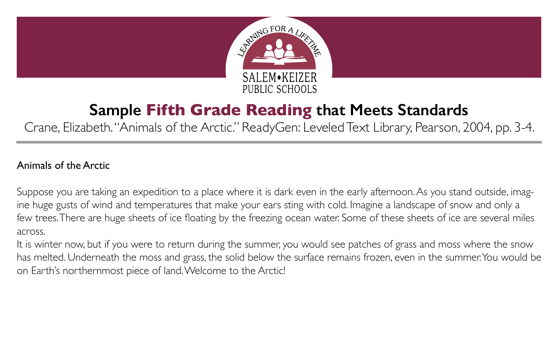

## **Sample Fifth Grade Reading that Meets Standards**

Crane, Elizabeth. "Animals of the Arctic." ReadyGen: Leveled Text Library, Pearson, 2004, pp. 3-4.

## Animals of the Arctic

Suppose you are taking an expedition to a place where it is dark even in the early afternoon. As you stand outside, imagine huge gusts of wind and temperatures that make your ears sting with cold. Imagine a landscape of snow and only a few trees. There are huge sheets of ice floating by the freezing ocean water. Some of these sheets of ice are several miles across.

It is winter now, but if you were to return during the summer, you would see patches of grass and moss where the snow has melted. Underneath the moss and grass, the solid below the surface remains frozen, even in the summer. You would be on Earth's northernmost piece of land. Welcome to the Arctic!